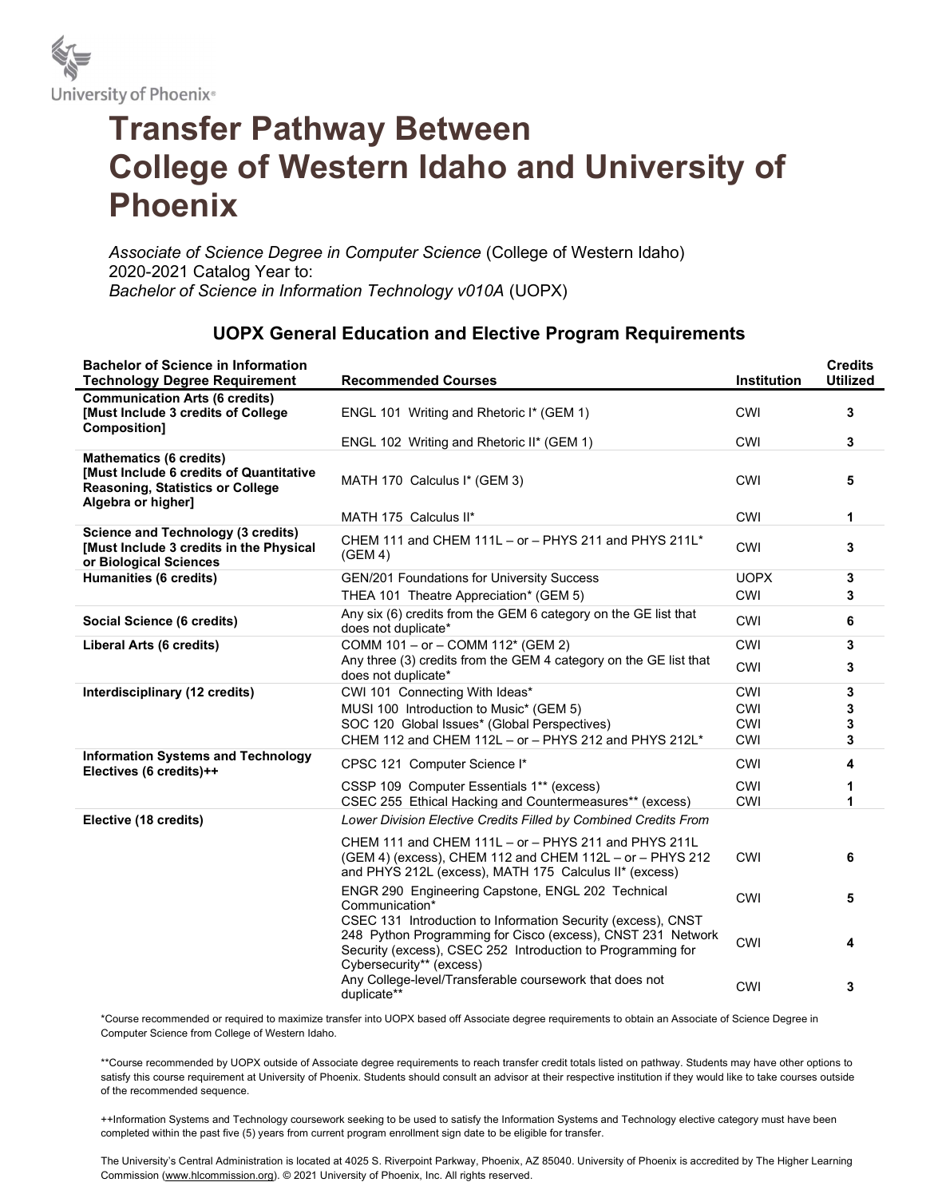

## Transfer Pathway Between College of Western Idaho and University of Phoenix

Associate of Science Degree in Computer Science (College of Western Idaho) 2020-2021 Catalog Year to: Bachelor of Science in Information Technology v010A (UOPX)

## UOPX General Education and Elective Program Requirements

| <b>Bachelor of Science in Information</b><br><b>Technology Degree Requirement</b>                                                          | <b>Recommended Courses</b>                                                                                                                                                                                             | Institution              | <b>Credits</b><br><b>Utilized</b> |
|--------------------------------------------------------------------------------------------------------------------------------------------|------------------------------------------------------------------------------------------------------------------------------------------------------------------------------------------------------------------------|--------------------------|-----------------------------------|
| <b>Communication Arts (6 credits)</b><br>[Must Include 3 credits of College<br>Composition]                                                | ENGL 101 Writing and Rhetoric I* (GEM 1)                                                                                                                                                                               | <b>CWI</b>               | 3                                 |
|                                                                                                                                            | ENGL 102 Writing and Rhetoric II* (GEM 1)                                                                                                                                                                              | <b>CWI</b>               | 3                                 |
| <b>Mathematics (6 credits)</b><br>[Must Include 6 credits of Quantitative<br><b>Reasoning, Statistics or College</b><br>Algebra or higher] | MATH 170 Calculus I* (GEM 3)                                                                                                                                                                                           | <b>CWI</b>               | 5                                 |
|                                                                                                                                            | MATH 175 Calculus II*                                                                                                                                                                                                  | CWI                      | 1                                 |
| <b>Science and Technology (3 credits)</b><br>[Must Include 3 credits in the Physical<br>or Biological Sciences                             | CHEM 111 and CHEM 111L - or - PHYS 211 and PHYS 211L*<br>(GEM 4)                                                                                                                                                       | <b>CWI</b>               | 3                                 |
| Humanities (6 credits)                                                                                                                     | GEN/201 Foundations for University Success                                                                                                                                                                             | <b>UOPX</b>              | 3                                 |
|                                                                                                                                            | THEA 101 Theatre Appreciation* (GEM 5)                                                                                                                                                                                 | <b>CWI</b>               | 3                                 |
| Social Science (6 credits)                                                                                                                 | Any six (6) credits from the GEM 6 category on the GE list that<br>does not duplicate*                                                                                                                                 | <b>CWI</b>               | 6                                 |
| <b>Liberal Arts (6 credits)</b>                                                                                                            | COMM 101 - or - COMM 112* (GEM 2)                                                                                                                                                                                      | <b>CWI</b>               | 3                                 |
|                                                                                                                                            | Any three (3) credits from the GEM 4 category on the GE list that<br>does not duplicate*                                                                                                                               | <b>CWI</b>               | 3                                 |
| Interdisciplinary (12 credits)                                                                                                             | CWI 101 Connecting With Ideas*                                                                                                                                                                                         | <b>CWI</b>               | 3                                 |
|                                                                                                                                            | MUSI 100 Introduction to Music* (GEM 5)                                                                                                                                                                                | <b>CWI</b>               | 3                                 |
|                                                                                                                                            | SOC 120 Global Issues* (Global Perspectives)<br>CHEM 112 and CHEM 112L - or - PHYS 212 and PHYS 212L*                                                                                                                  | <b>CWI</b><br><b>CWI</b> | 3<br>3                            |
| <b>Information Systems and Technology</b>                                                                                                  |                                                                                                                                                                                                                        |                          |                                   |
| Electives (6 credits)++                                                                                                                    | CPSC 121 Computer Science I*                                                                                                                                                                                           | <b>CWI</b>               | 4                                 |
|                                                                                                                                            | CSSP 109 Computer Essentials 1** (excess)<br>CSEC 255 Ethical Hacking and Countermeasures** (excess)                                                                                                                   | <b>CWI</b><br>CWI        | 1<br>1                            |
| Elective (18 credits)                                                                                                                      | Lower Division Elective Credits Filled by Combined Credits From                                                                                                                                                        |                          |                                   |
|                                                                                                                                            | CHEM 111 and CHEM 111L - or - PHYS 211 and PHYS 211L<br>(GEM 4) (excess), CHEM 112 and CHEM 112L - or - PHYS 212<br>and PHYS 212L (excess), MATH 175 Calculus II* (excess)                                             | CWI                      | 6                                 |
|                                                                                                                                            | ENGR 290 Engineering Capstone, ENGL 202 Technical<br>Communication*                                                                                                                                                    | <b>CWI</b>               | 5                                 |
|                                                                                                                                            | CSEC 131 Introduction to Information Security (excess), CNST<br>248 Python Programming for Cisco (excess), CNST 231 Network<br>Security (excess), CSEC 252 Introduction to Programming for<br>Cybersecurity** (excess) | <b>CWI</b>               | 4                                 |
|                                                                                                                                            | Any College-level/Transferable coursework that does not<br>duplicate**                                                                                                                                                 | <b>CWI</b>               | 3                                 |

\*Course recommended or required to maximize transfer into UOPX based off Associate degree requirements to obtain an Associate of Science Degree in Computer Science from College of Western Idaho.

\*\*Course recommended by UOPX outside of Associate degree requirements to reach transfer credit totals listed on pathway. Students may have other options to satisfy this course requirement at University of Phoenix. Students should consult an advisor at their respective institution if they would like to take courses outside of the recommended sequence.

++Information Systems and Technology coursework seeking to be used to satisfy the Information Systems and Technology elective category must have been completed within the past five (5) years from current program enrollment sign date to be eligible for transfer.

The University's Central Administration is located at 4025 S. Riverpoint Parkway, Phoenix, AZ 85040. University of Phoenix is accredited by The Higher Learning Commission (www.hlcommission.org). © 2021 University of Phoenix, Inc. All rights reserved.